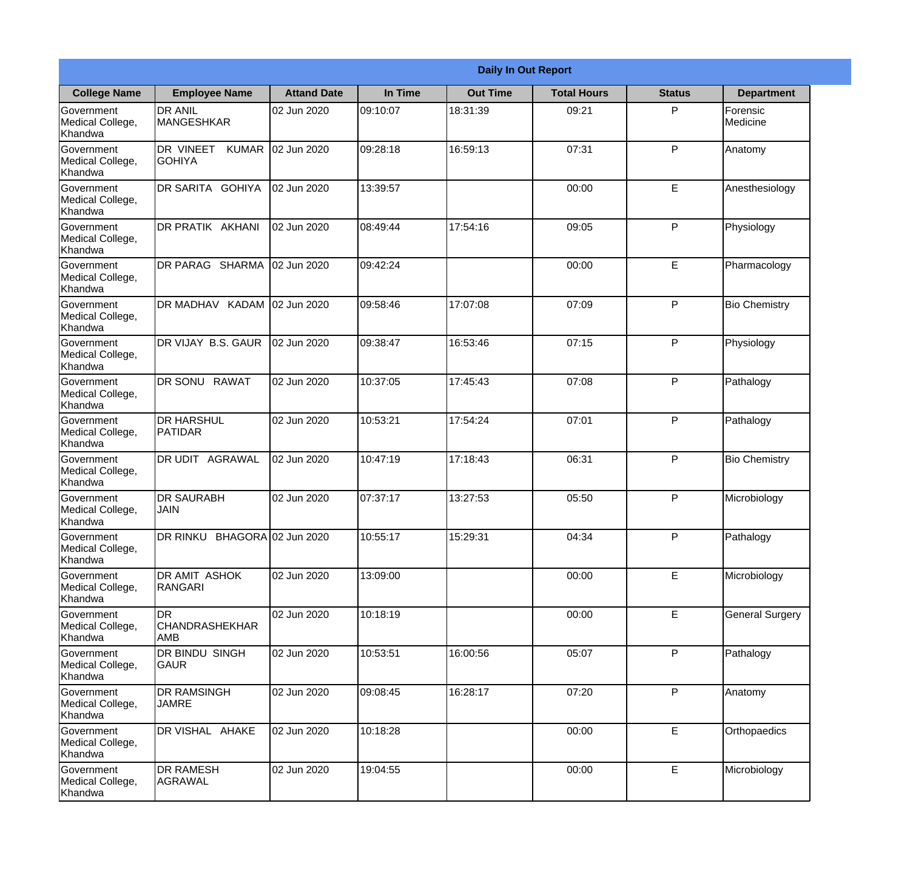|                                           | <b>Daily In Out Report</b>         |                    |          |                 |                    |                             |                        |
|-------------------------------------------|------------------------------------|--------------------|----------|-----------------|--------------------|-----------------------------|------------------------|
| <b>College Name</b>                       | <b>Employee Name</b>               | <b>Attand Date</b> | In Time  | <b>Out Time</b> | <b>Total Hours</b> | <b>Status</b>               | <b>Department</b>      |
| Government<br>Medical College,<br>Khandwa | <b>DR ANIL</b><br>MANGESHKAR       | 02 Jun 2020        | 09:10:07 | 18:31:39        | 09:21              | P                           | Forensic<br>Medicine   |
| Government<br>Medical College,<br>Khandwa | DR VINEET KUMAR<br><b>GOHIYA</b>   | 02 Jun 2020        | 09:28:18 | 16:59:13        | 07:31              | P                           | Anatomy                |
| Government<br>Medical College,<br>Khandwa | DR SARITA GOHIYA                   | 02 Jun 2020        | 13:39:57 |                 | 00:00              | E.                          | Anesthesiology         |
| Government<br>Medical College,<br>Khandwa | DR PRATIK AKHANI                   | 02 Jun 2020        | 08:49:44 | 17:54:16        | 09:05              | P                           | Physiology             |
| Government<br>Medical College,<br>Khandwa | DR PARAG SHARMA                    | 02 Jun 2020        | 09:42:24 |                 | 00:00              | E                           | Pharmacology           |
| Government<br>Medical College,<br>Khandwa | DR MADHAV KADAM 02 Jun 2020        |                    | 09:58:46 | 17:07:08        | 07:09              | P                           | <b>Bio Chemistry</b>   |
| Government<br>Medical College,<br>Khandwa | DR VIJAY B.S. GAUR                 | 02 Jun 2020        | 09:38:47 | 16:53:46        | 07:15              | P                           | Physiology             |
| Government<br>Medical College,<br>Khandwa | <b>DR SONU RAWAT</b>               | 02 Jun 2020        | 10:37:05 | 17:45:43        | 07:08              | P                           | Pathalogy              |
| Government<br>Medical College,<br>Khandwa | <b>DR HARSHUL</b><br>PATIDAR       | 02 Jun 2020        | 10:53:21 | 17:54:24        | 07:01              | P                           | Pathalogy              |
| Government<br>Medical College,<br>Khandwa | DR UDIT AGRAWAL                    | 02 Jun 2020        | 10:47:19 | 17:18:43        | 06:31              | P                           | <b>Bio Chemistry</b>   |
| Government<br>Medical College,<br>Khandwa | <b>DR SAURABH</b><br>JAIN          | 02 Jun 2020        | 07:37:17 | 13:27:53        | 05:50              | P                           | Microbiology           |
| Government<br>Medical College,<br>Khandwa | DR RINKU BHAGORA 02 Jun 2020       |                    | 10:55:17 | 15:29:31        | 04:34              | P                           | Pathalogy              |
| Government<br>Medical College,<br>Khandwa | DR AMIT ASHOK<br>RANGARI           | 02 Jun 2020        | 13:09:00 |                 | 00:00              | E                           | Microbiology           |
| Government<br>Medical College,<br>Khandwa | DR<br><b>CHANDRASHEKHAR</b><br>AMB | 02 Jun 2020        | 10:18:19 |                 | 00:00              | $\mathsf{E}% _{\mathsf{H}}$ | <b>General Surgery</b> |
| Government<br>Medical College,<br>Khandwa | DR BINDU SINGH<br><b>GAUR</b>      | 02 Jun 2020        | 10:53:51 | 16:00:56        | 05:07              | P                           | Pathalogy              |
| Government<br>Medical College,<br>Khandwa | <b>DR RAMSINGH</b><br><b>JAMRE</b> | 02 Jun 2020        | 09:08:45 | 16:28:17        | 07:20              | P                           | Anatomy                |
| Government<br>Medical College,<br>Khandwa | DR VISHAL AHAKE                    | 02 Jun 2020        | 10:18:28 |                 | 00:00              | E                           | Orthopaedics           |
| Government<br>Medical College,<br>Khandwa | <b>DR RAMESH</b><br><b>AGRAWAL</b> | 02 Jun 2020        | 19:04:55 |                 | 00:00              | $\mathsf E$                 | Microbiology           |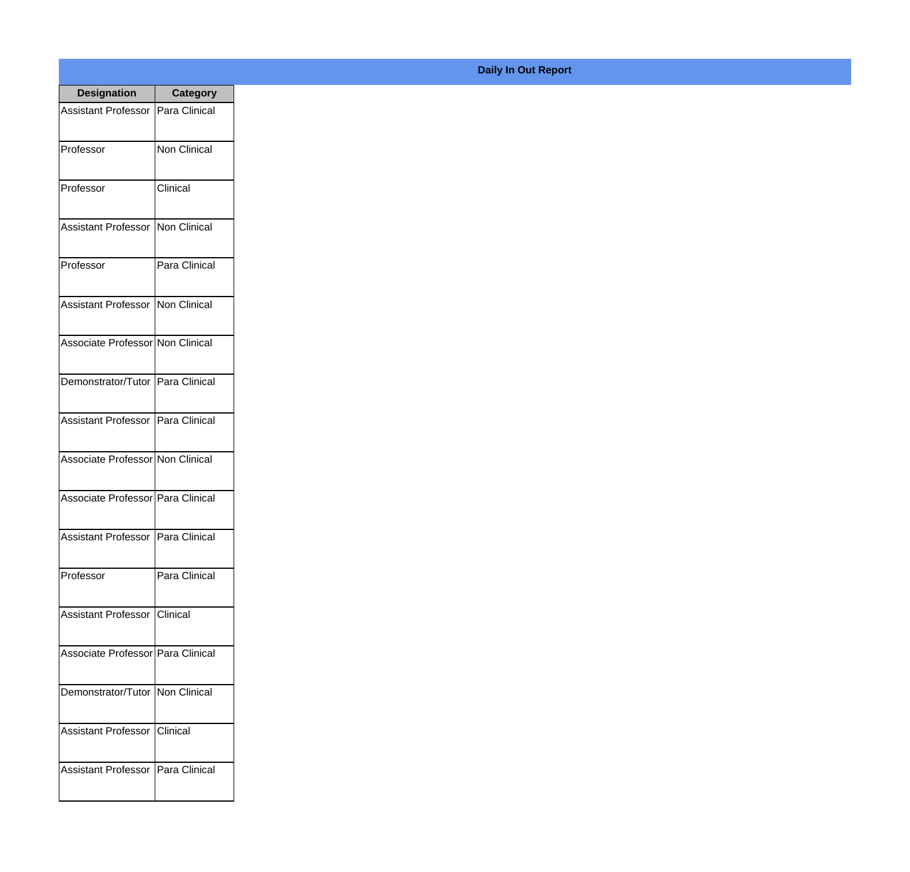| <b>Designation</b>                  | <b>Category</b>     |
|-------------------------------------|---------------------|
| Assistant Professor   Para Clinical |                     |
| Professor                           | <b>Non Clinical</b> |
| Professor                           | Clinical            |
| <b>Assistant Professor</b>          | Non Clinical        |
| Professor                           | Para Clinical       |
| Assistant Professor   Non Clinical  |                     |
| Associate Professor Non Clinical    |                     |
| Demonstrator/Tutor   Para Clinical  |                     |
| Assistant Professor   Para Clinical |                     |
| Associate Professor Non Clinical    |                     |
| Associate Professor Para Clinical   |                     |
| Assistant Professor   Para Clinical |                     |
| Professor                           | Para Clinical       |
| Assistant Professor   Clinical      |                     |
| Associate Professor Para Clinical   |                     |
| Demonstrator/Tutor   Non Clinical   |                     |
| <b>Assistant Professor</b>          | Clinical            |
| Assistant Professor   Para Clinical |                     |

## **Daily In Out Report**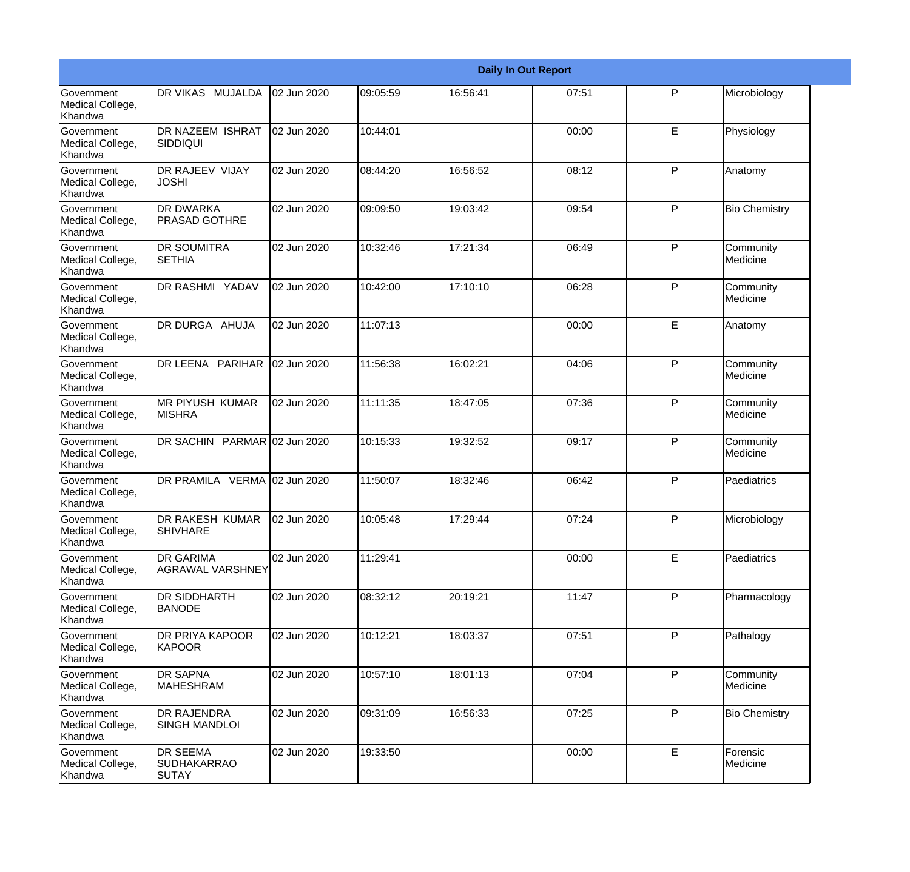|                                                  |                                                |             |          |          | <b>Daily In Out Report</b> |              |                       |
|--------------------------------------------------|------------------------------------------------|-------------|----------|----------|----------------------------|--------------|-----------------------|
| Government<br>Medical College,<br>Khandwa        | DR VIKAS MUJALDA                               | 02 Jun 2020 | 09:05:59 | 16:56:41 | 07:51                      | P            | Microbiology          |
| <b>Government</b><br>Medical College,<br>Khandwa | <b>DR NAZEEM ISHRAT</b><br><b>SIDDIQUI</b>     | 02 Jun 2020 | 10:44:01 |          | 00:00                      | E            | Physiology            |
| <b>Government</b><br>Medical College,<br>Khandwa | <b>DR RAJEEV VIJAY</b><br><b>JOSHI</b>         | 02 Jun 2020 | 08:44:20 | 16:56:52 | 08:12                      | P            | Anatomy               |
| <b>Government</b><br>Medical College,<br>Khandwa | <b>DR DWARKA</b><br><b>PRASAD GOTHRE</b>       | 02 Jun 2020 | 09:09:50 | 19:03:42 | 09:54                      | $\mathsf{P}$ | <b>Bio Chemistry</b>  |
| Government<br>Medical College,<br>Khandwa        | <b>DR SOUMITRA</b><br><b>SETHIA</b>            | 02 Jun 2020 | 10:32:46 | 17:21:34 | 06:49                      | $\mathsf{P}$ | Community<br>Medicine |
| Government<br>Medical College,<br>Khandwa        | DR RASHMI YADAV                                | 02 Jun 2020 | 10:42:00 | 17:10:10 | 06:28                      | $\mathsf{P}$ | Community<br>Medicine |
| Government<br>Medical College,<br>Khandwa        | DR DURGA AHUJA                                 | 02 Jun 2020 | 11:07:13 |          | 00:00                      | E            | Anatomy               |
| Government<br>Medical College,<br>Khandwa        | DR LEENA PARIHAR                               | 02 Jun 2020 | 11:56:38 | 16:02:21 | 04:06                      | $\mathsf{P}$ | Community<br>Medicine |
| Government<br>Medical College,<br>Khandwa        | <b>MR PIYUSH KUMAR</b><br><b>MISHRA</b>        | 02 Jun 2020 | 11:11:35 | 18:47:05 | 07:36                      | $\mathsf{P}$ | Community<br>Medicine |
| <b>Government</b><br>Medical College,<br>Khandwa | DR SACHIN PARMAR 02 Jun 2020                   |             | 10:15:33 | 19:32:52 | 09:17                      | $\mathsf{P}$ | Community<br>Medicine |
| <b>Government</b><br>Medical College,<br>Khandwa | DR PRAMILA VERMA 02 Jun 2020                   |             | 11:50:07 | 18:32:46 | 06:42                      | P            | Paediatrics           |
| Government<br>Medical College,<br>Khandwa        | <b>DR RAKESH KUMAR</b><br><b>SHIVHARE</b>      | 02 Jun 2020 | 10:05:48 | 17:29:44 | 07:24                      | P            | Microbiology          |
| Government<br>Medical College,<br>Khandwa        | DR GARIMA<br><b>AGRAWAL VARSHNEY</b>           | 02 Jun 2020 | 11:29:41 |          | 00:00                      | E            | Paediatrics           |
| Government<br>Medical College,<br>Khandwa        | DR SIDDHARTH<br><b>BANODE</b>                  | 02 Jun 2020 | 08:32:12 | 20:19:21 | 11:47                      | P            | Pharmacology          |
| Government<br>Medical College,<br>Khandwa        | <b>DR PRIYA KAPOOR</b><br>KAPOOR               | 02 Jun 2020 | 10:12:21 | 18:03:37 | 07:51                      | P            | Pathalogy             |
| Government<br>Medical College,<br>Khandwa        | <b>DR SAPNA</b><br><b>MAHESHRAM</b>            | 02 Jun 2020 | 10:57:10 | 18:01:13 | 07:04                      | $\mathsf{P}$ | Community<br>Medicine |
| Government<br>Medical College,<br>Khandwa        | DR RAJENDRA<br>SINGH MANDLOI                   | 02 Jun 2020 | 09:31:09 | 16:56:33 | 07:25                      | P            | <b>Bio Chemistry</b>  |
| Government<br>Medical College,<br>Khandwa        | DR SEEMA<br><b>SUDHAKARRAO</b><br><b>SUTAY</b> | 02 Jun 2020 | 19:33:50 |          | 00:00                      | E            | Forensic<br>Medicine  |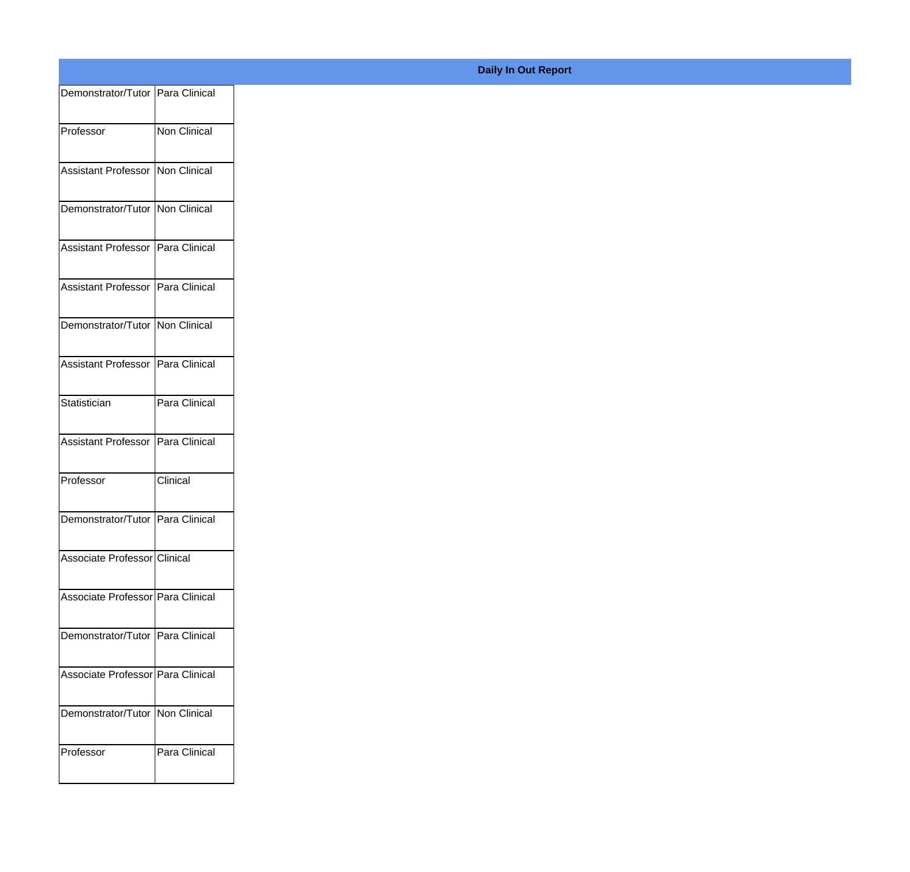| Demonstrator/Tutor Para Clinical    |               |
|-------------------------------------|---------------|
| Professor                           | Non Clinical  |
|                                     |               |
| Assistant Professor Non Clinical    |               |
| Demonstrator/Tutor Non Clinical     |               |
| Assistant Professor   Para Clinical |               |
| Assistant Professor Para Clinical   |               |
| Demonstrator/Tutor Non Clinical     |               |
| Assistant Professor   Para Clinical |               |
| Statistician                        | Para Clinical |
| Assistant Professor Para Clinical   |               |
|                                     |               |
| Professor                           | Clinical      |
| Demonstrator/Tutor Para Clinical    |               |
| Associate Professor Clinical        |               |
| Associate Professor   Para Clinical |               |
| Demonstrator/Tutor Para Clinical    |               |
|                                     |               |
| Associate Professor Para Clinical   |               |
| Demonstrator/Tutor   Non Clinical   |               |
| Professor                           | Para Clinical |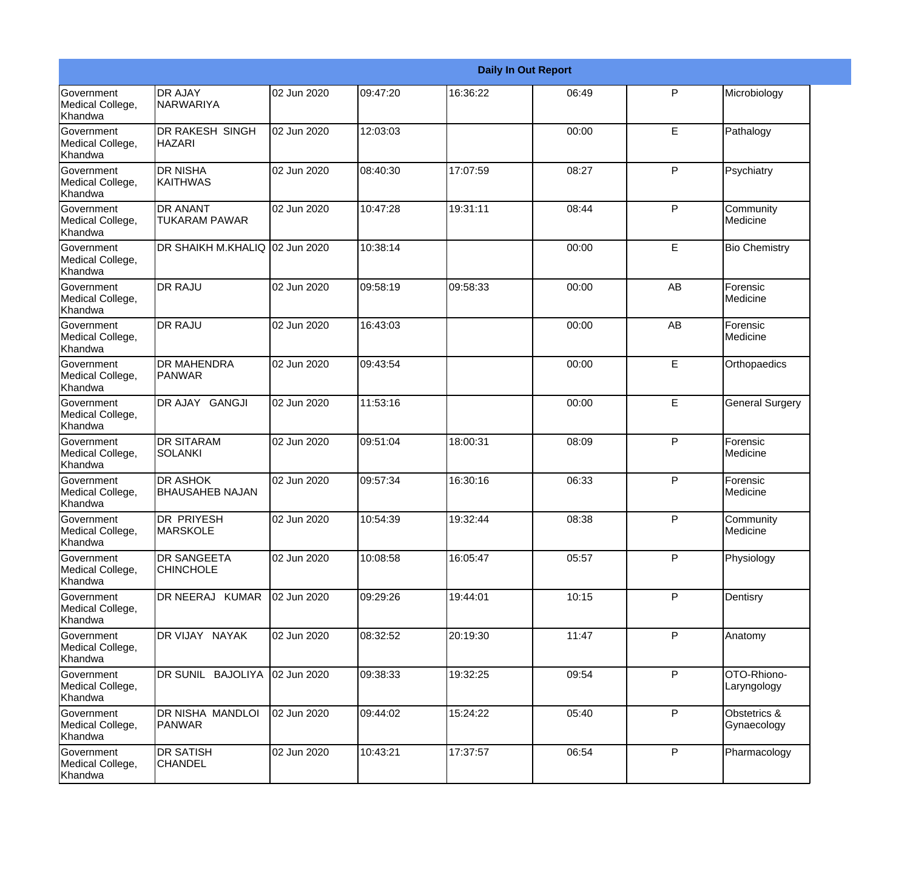|                                                  |                                         |             |          |          | <b>Daily In Out Report</b> |              |                             |
|--------------------------------------------------|-----------------------------------------|-------------|----------|----------|----------------------------|--------------|-----------------------------|
| <b>Government</b><br>Medical College,<br>Khandwa | <b>DR AJAY</b><br>NARWARIYA             | 02 Jun 2020 | 09:47:20 | 16:36:22 | 06:49                      | P            | Microbiology                |
| Government<br>Medical College,<br>Khandwa        | DR RAKESH SINGH<br><b>HAZARI</b>        | 02 Jun 2020 | 12:03:03 |          | 00:00                      | E            | Pathalogy                   |
| Government<br>Medical College,<br>Khandwa        | <b>DR NISHA</b><br><b>KAITHWAS</b>      | 02 Jun 2020 | 08:40:30 | 17:07:59 | 08:27                      | $\mathsf{P}$ | Psychiatry                  |
| Government<br>Medical College,<br>Khandwa        | <b>DR ANANT</b><br><b>TUKARAM PAWAR</b> | 02 Jun 2020 | 10:47:28 | 19:31:11 | 08:44                      | $\mathsf{P}$ | Community<br>Medicine       |
| <b>Government</b><br>Medical College,<br>Khandwa | DR SHAIKH M.KHALIQ                      | 02 Jun 2020 | 10:38:14 |          | 00:00                      | E            | <b>Bio Chemistry</b>        |
| Government<br>Medical College,<br>Khandwa        | <b>DR RAJU</b>                          | 02 Jun 2020 | 09:58:19 | 09:58:33 | 00:00                      | AB           | Forensic<br>Medicine        |
| <b>Government</b><br>Medical College,<br>Khandwa | <b>DR RAJU</b>                          | 02 Jun 2020 | 16:43:03 |          | 00:00                      | AB           | Forensic<br>Medicine        |
| Government<br>Medical College,<br>Khandwa        | DR MAHENDRA<br>PANWAR                   | 02 Jun 2020 | 09:43:54 |          | 00:00                      | E            | Orthopaedics                |
| <b>Government</b><br>Medical College,<br>Khandwa | DR AJAY GANGJI                          | 02 Jun 2020 | 11:53:16 |          | 00:00                      | E            | <b>General Surgery</b>      |
| <b>Government</b><br>Medical College,<br>Khandwa | <b>DR SITARAM</b><br><b>SOLANKI</b>     | 02 Jun 2020 | 09:51:04 | 18:00:31 | 08:09                      | P            | Forensic<br>Medicine        |
| Government<br>Medical College,<br>Khandwa        | <b>DR ASHOK</b><br>IBHAUSAHEB NAJAN     | 02 Jun 2020 | 09:57:34 | 16:30:16 | 06:33                      | P            | Forensic<br>Medicine        |
| Government<br>Medical College,<br>Khandwa        | DR PRIYESH<br><b>MARSKOLE</b>           | 02 Jun 2020 | 10:54:39 | 19:32:44 | 08:38                      | $\mathsf{P}$ | Community<br>Medicine       |
| Government<br>Medical College,<br>Khandwa        | DR SANGEETA<br><b>CHINCHOLE</b>         | 02 Jun 2020 | 10:08:58 | 16:05:47 | 05:57                      | P            | Physiology                  |
| Government<br>Medical College,<br>Khandwa        | DR NEERAJ KUMAR                         | 02 Jun 2020 | 09:29:26 | 19:44:01 | 10:15                      | P            | Dentisry                    |
| Government<br>Medical College,<br>Khandwa        | DR VIJAY NAYAK                          | 02 Jun 2020 | 08:32:52 | 20:19:30 | 11:47                      | $\mathsf{P}$ | Anatomy                     |
| Government<br>Medical College,<br>Khandwa        | DR SUNIL BAJOLIYA                       | 02 Jun 2020 | 09:38:33 | 19:32:25 | 09:54                      | $\mathsf{P}$ | OTO-Rhiono-<br>Laryngology  |
| Government<br>Medical College,<br>Khandwa        | DR NISHA MANDLOI<br><b>PANWAR</b>       | 02 Jun 2020 | 09:44:02 | 15:24:22 | 05:40                      | P            | Obstetrics &<br>Gynaecology |
| Government<br>Medical College,<br>Khandwa        | <b>DR SATISH</b><br><b>CHANDEL</b>      | 02 Jun 2020 | 10:43:21 | 17:37:57 | 06:54                      | P            | Pharmacology                |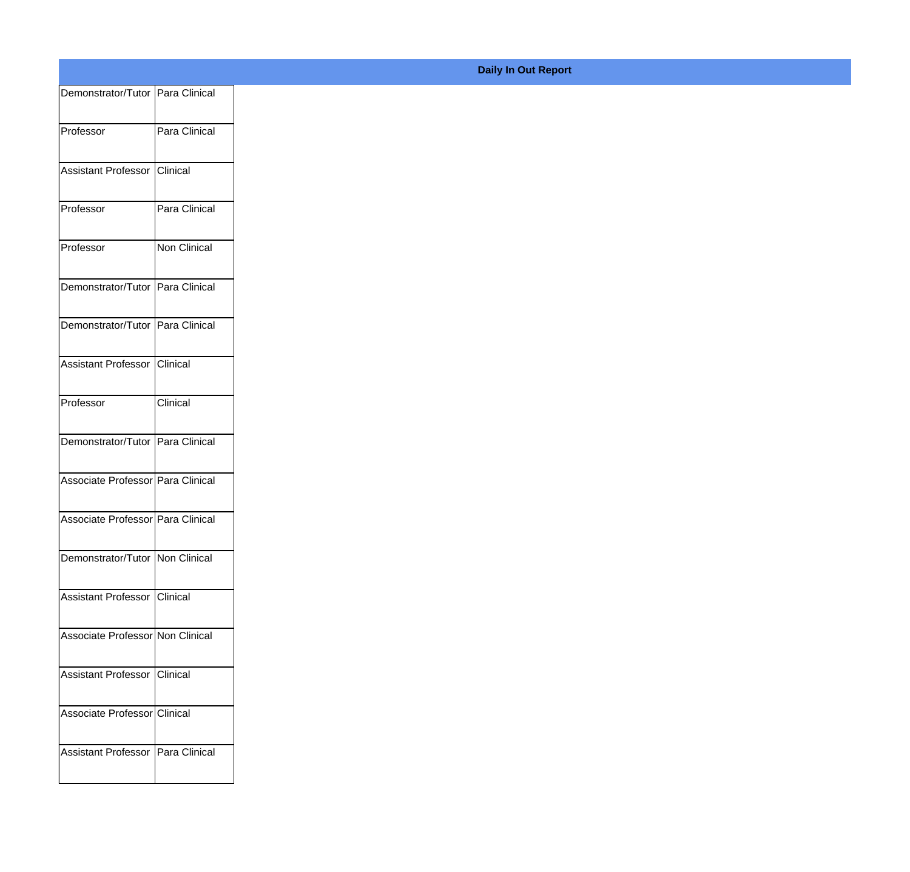| Demonstrator/Tutor Para Clinical  |               |
|-----------------------------------|---------------|
| Professor                         | Para Clinical |
|                                   |               |
| Assistant Professor Clinical      |               |
| Professor                         | Para Clinical |
| Professor                         | Non Clinical  |
|                                   |               |
| Demonstrator/Tutor Para Clinical  |               |
| Demonstrator/Tutor Para Clinical  |               |
| Assistant Professor Clinical      |               |
| Professor                         | Clinical      |
|                                   |               |
| Demonstrator/Tutor Para Clinical  |               |
| Associate Professor Para Clinical |               |
| Associate Professor Para Clinical |               |
|                                   |               |
| Demonstrator/Tutor Non Clinical   |               |
| Assistant Professor Clinical      |               |
| Associate Professor Non Clinical  |               |
| Assistant Professor Clinical      |               |
|                                   |               |
| Associate Professor Clinical      |               |
| Assistant Professor Para Clinical |               |
|                                   |               |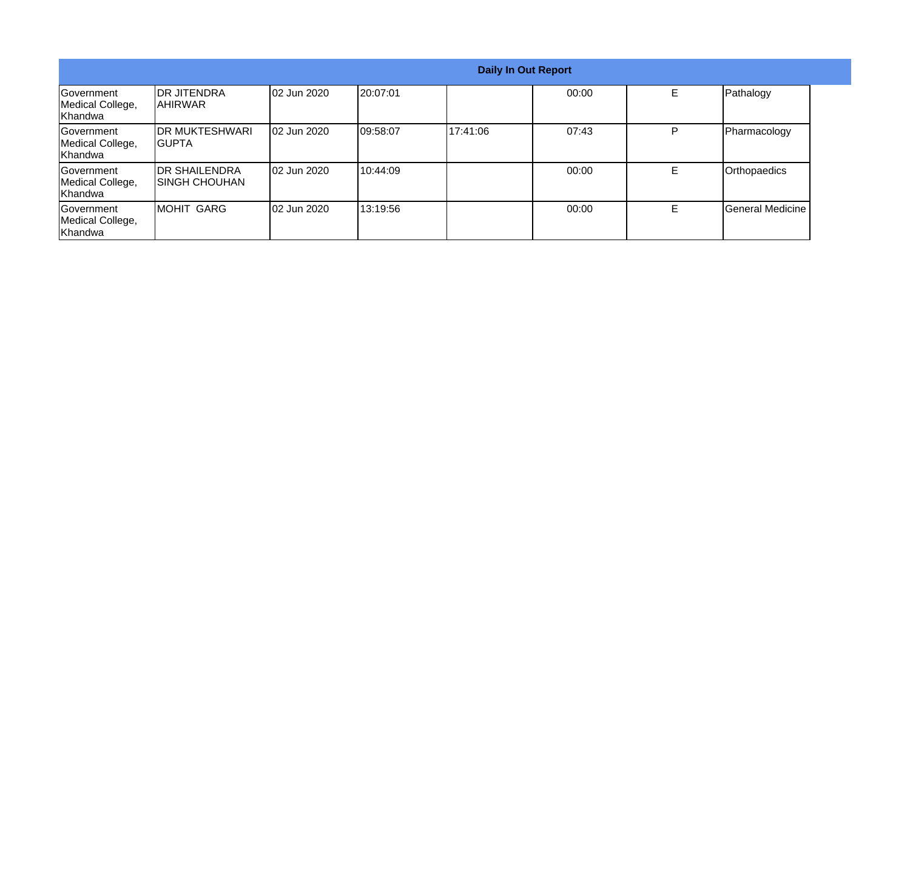| <b>Daily In Out Report</b>                               |                                         |                     |           |           |       |    |                  |
|----------------------------------------------------------|-----------------------------------------|---------------------|-----------|-----------|-------|----|------------------|
| Government<br>Medical College,<br><b>Khandwa</b>         | <b>DR JITENDRA</b><br>IAHIRWAR          | <b>02 Jun 2020</b>  | 120:07:01 |           | 00:00 | E. | Pathalogy        |
| <b>IGovernment</b><br>Medical College,<br><b>Khandwa</b> | <b>IDR MUKTESHWARI</b><br>IGUPTA        | <b>102 Jun 2020</b> | 109:58:07 | 117:41:06 | 07:43 | P  | Pharmacology     |
| <b>Government</b><br>Medical College,<br>Khandwa         | <b>IDR SHAILENDRA</b><br>ISINGH CHOUHAN | <b>102 Jun 2020</b> | 10:44:09  |           | 00:00 | E. | Orthopaedics     |
| <b>Government</b><br>Medical College,<br>Khandwa         | IMOHIT GARG                             | 02 Jun 2020         | 13:19:56  |           | 00:00 | E  | General Medicine |